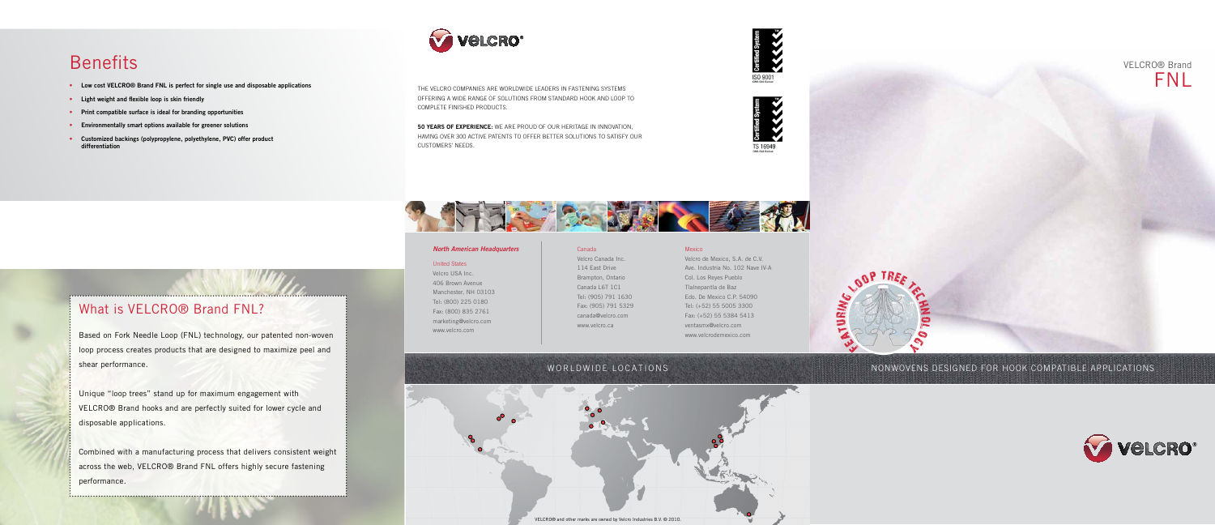#### *North American Headquarters*

#### United States

Velcro USA Inc. 406 Brown Avenue Manchester, NH 03103 Tel: (800) 225 0180 Fax: (800) 835 2761 marketing@velcro.com www.velcro.com

# Canada

Velcro Canada Inc. 114 East Drive Brampton, Ontario Canada L6T 1C1 Tel: (905) 791 1630 Fax: (905) 791 5329 canada@velcro.com www.velcro.ca

#### Mexico

Velcro de Mexico, S.A. de C.V.

# **Benefits**

- Low cost VELCRO® Brand FNL is perfect for single use and disposable applications
- • Light weight and flexible loop is skin friendly
- Print compatible surface is ideal for branding opportunities
- • Environmentally smart options available for greener solutions
- Customized backings (polypropylene, polyethylene, PVC) offer product differentiation



Ave. Industria No. 102 Nave IV-A Col. Los Reyes Pueblo Tlalnepantla de Baz Edo. De Mexico C.P. 54090 Tel: (+52) 55 5005 3300 Fax: (+52) 55 5384 5413 ventasmx@velcro.com www.velcrodemexico.com

50 YEARS OF EXPERIENCE: WE ARE PROUD OF OUR HERITAGE IN INNOVATION, having over 300 active patents to offer better solutions to satisfy our customers' needs.





nonwovens designed for hook compatible applications



the velcro companies are worldwide leaders in fastening systems offering a wide range of solutions from standard hook and loop to complete finished products.







# What is VELCRO® Brand FNL?

Based on Fork Needle Loop (FNL) technology, our patented non-woven loop process creates products that are designed to maximize peel and shear performance.

Unique "loop trees" stand up for maximum engagement with VELCRO® Brand hooks and are perfectly suited for lower cycle and disposable applications.

Combined with a manufacturing process that delivers consistent weight across the web, VELCRO® Brand FNL offers highly secure fastening performance.



## WORLDWIDE LOCATIONS